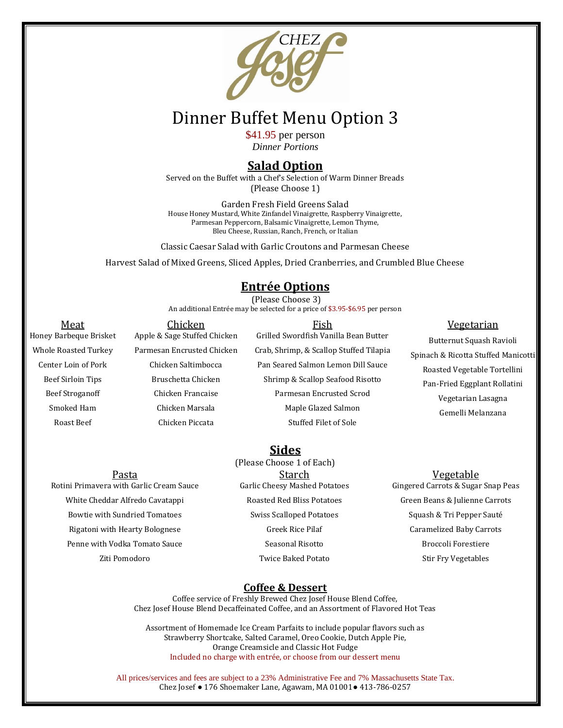

# Dinner Buffet Menu Option 3

\$41.95 per person *Dinner Portions*

## **Salad Option**

Served on the Buffet with a Chef's Selection of Warm Dinner Breads (Please Choose 1)

Garden Fresh Field Greens Salad House Honey Mustard, White Zinfandel Vinaigrette, Raspberry Vinaigrette, Parmesan Peppercorn, Balsamic Vinaigrette, Lemon Thyme, Bleu Cheese, Russian, Ranch, French, or Italian

Classic Caesar Salad with Garlic Croutons and Parmesan Cheese

Harvest Salad of Mixed Greens, Sliced Apples, Dried Cranberries, and Crumbled Blue Cheese

# **Entrée Options**

(Please Choose 3)

An additional Entrée may be selected for a price of \$3.95-\$6.95 per person

| Meat                        | Chicken                      | Fish                                    | <u>Vegetarian</u>                   |
|-----------------------------|------------------------------|-----------------------------------------|-------------------------------------|
| Honey Barbeque Brisket      | Apple & Sage Stuffed Chicken | Grilled Swordfish Vanilla Bean Butter   | Butternut Squash Ravioli            |
| <b>Whole Roasted Turkey</b> | Parmesan Encrusted Chicken   | Crab, Shrimp, & Scallop Stuffed Tilapia | Spinach & Ricotta Stuffed Manicotti |
| Center Loin of Pork         | Chicken Saltimbocca          | Pan Seared Salmon Lemon Dill Sauce      | Roasted Vegetable Tortellini        |
| Beef Sirloin Tips           | Bruschetta Chicken           | Shrimp & Scallop Seafood Risotto        | Pan-Fried Eggplant Rollatini        |
| <b>Beef Stroganoff</b>      | Chicken Francaise            | Parmesan Encrusted Scrod                | Vegetarian Lasagna                  |
| Smoked Ham                  | Chicken Marsala              | Maple Glazed Salmon                     | Gemelli Melanzana                   |
| Roast Beef                  | Chicken Piccata              | Stuffed Filet of Sole                   |                                     |
|                             |                              |                                         |                                     |

**Sides**

Rotini Primavera with Garlic Cream Sauce White Cheddar Alfredo Cavatappi Bowtie with Sundried Tomatoes Rigatoni with Hearty Bolognese Penne with Vodka Tomato Sauce Ziti Pomodoro

(Please Choose 1 of Each) Pasta Starch Starch Vegetable Garlic Cheesy Mashed Potatoes Roasted Red Bliss Potatoes Swiss Scalloped Potatoes Greek Rice Pilaf Seasonal Risotto Twice Baked Potato

Gingered Carrots & Sugar Snap Peas Green Beans & Julienne Carrots Squash & Tri Pepper Sauté Caramelized Baby Carrots Broccoli Forestiere Stir Fry Vegetables

#### **Coffee & Dessert**

Coffee service of Freshly Brewed Chez Josef House Blend Coffee, Chez Josef House Blend Decaffeinated Coffee, and an Assortment of Flavored Hot Teas

Assortment of Homemade Ice Cream Parfaits to include popular flavors such as Strawberry Shortcake, Salted Caramel, Oreo Cookie, Dutch Apple Pie, Orange Creamsicle and Classic Hot Fudge Included no charge with entrée, or choose from our dessert menu

All prices/services and fees are subject to a 23% Administrative Fee and 7% Massachusetts State Tax. Chez Josef ● 176 Shoemaker Lane, Agawam, MA 01001● 413-786-0257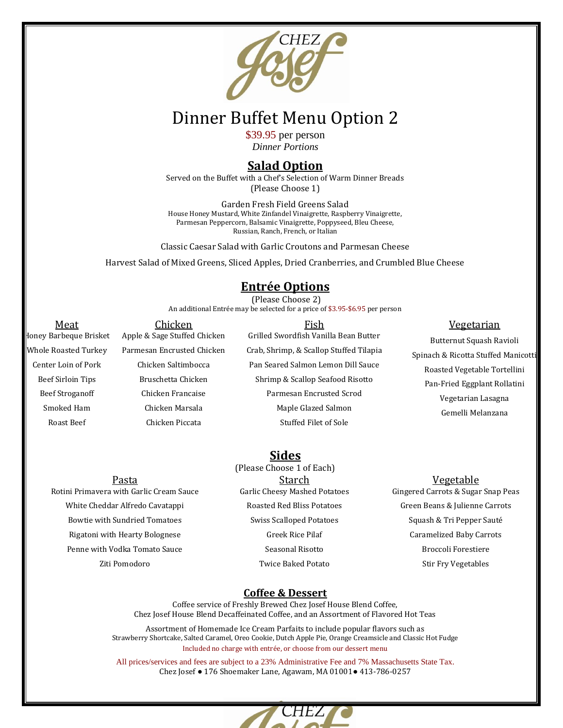

# Dinner Buffet Menu Option 2

\$39.95 per person *Dinner Portions*

# **Salad Option**

Served on the Buffet with a Chef's Selection of Warm Dinner Breads (Please Choose 1)

Garden Fresh Field Greens Salad House Honey Mustard, White Zinfandel Vinaigrette, Raspberry Vinaigrette, Parmesan Peppercorn, Balsamic Vinaigrette, Poppyseed, Bleu Cheese, Russian, Ranch, French, or Italian

Classic Caesar Salad with Garlic Croutons and Parmesan Cheese

Harvest Salad of Mixed Greens, Sliced Apples, Dried Cranberries, and Crumbled Blue Cheese

# **Entrée Options**

(Please Choose 2) An additional Entrée may be selected for a price of \$3.95-\$6.95 per person

<u>Meat Chicken Chicken Eish Fish Seats Vegetarian</u> Honey Barbeque Brisket Whole Roasted Turkey Center Loin of Pork Beef Sirloin Tips Beef Stroganoff Smoked Ham Roast Beef Apple & Sage Stuffed Chicken Parmesan Encrusted Chicken Chicken Saltimbocca Bruschetta Chicken Chicken Francaise Chicken Marsala Chicken Piccata Grilled Swordfish Vanilla Bean Butter Crab, Shrimp, & Scallop Stuffed Tilapia Pan Seared Salmon Lemon Dill Sauce Shrimp & Scallop Seafood Risotto Parmesan Encrusted Scrod Maple Glazed Salmon Stuffed Filet of Sole Butternut Squash Ravioli Spinach & Ricotta Stuffed Manicotti Roasted Vegetable Tortellini Pan-Fried Eggplant Rollatini Vegetarian Lasagna Gemelli Melanzana

### **Sides**

Rotini Primavera with Garlic Cream Sauce White Cheddar Alfredo Cavatappi Bowtie with Sundried Tomatoes Rigatoni with Hearty Bolognese Penne with Vodka Tomato Sauce Ziti Pomodoro

(Please Choose 1 of Each) Pasta Negetable Starch Starch Starch Vegetable Garlic Cheesy Mashed Potatoes Roasted Red Bliss Potatoes Swiss Scalloped Potatoes Greek Rice Pilaf Seasonal Risotto Twice Baked Potato

Gingered Carrots & Sugar Snap Peas Green Beans & Julienne Carrots Squash & Tri Pepper Sauté Caramelized Baby Carrots Broccoli Forestiere Stir Fry Vegetables

#### **Coffee & Dessert**

Coffee service of Freshly Brewed Chez Josef House Blend Coffee, Chez Josef House Blend Decaffeinated Coffee, and an Assortment of Flavored Hot Teas

Assortment of Homemade Ice Cream Parfaits to include popular flavors such as Strawberry Shortcake, Salted Caramel, Oreo Cookie, Dutch Apple Pie, Orange Creamsicle and Classic Hot Fudge Included no charge with entrée, or choose from our dessert menu

All prices/services and fees are subject to a 23% Administrative Fee and 7% Massachusetts State Tax. Chez Josef ● 176 Shoemaker Lane, Agawam, MA 01001● 413-786-0257